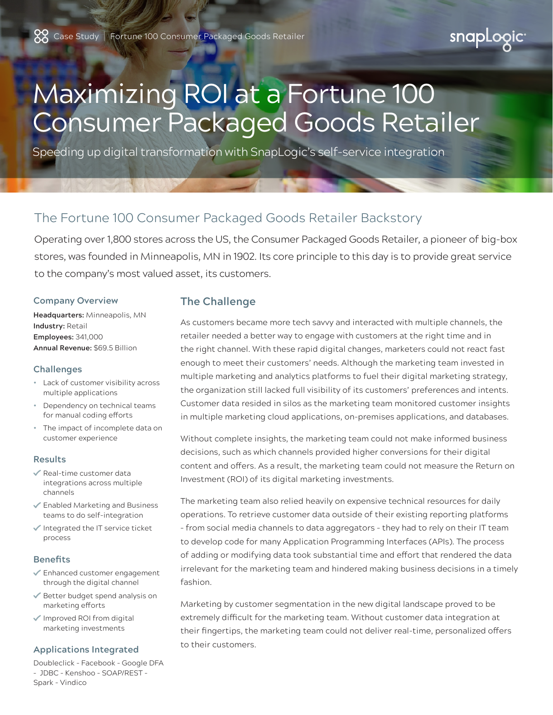snapLogic

# Maximizing ROI at a Fortune 100 Consumer Packaged Goods Retailer

Speeding up digital transformation with SnapLogic's self-service integration

# The Fortune 100 Consumer Packaged Goods Retailer Backstory

Operating over 1,800 stores across the US, the Consumer Packaged Goods Retailer, a pioneer of big-box stores, was founded in Minneapolis, MN in 1902. Its core principle to this day is to provide great service to the company's most valued asset, its customers.

#### **Company Overview**

**Headquarters:** Minneapolis, MN **Industry:** Retail **Employees:** 341,000 **Annual Revenue:** \$69.5 Billion

#### **Challenges**

- Lack of customer visibility across multiple applications
- Dependency on technical teams for manual coding efforts
- The impact of incomplete data on customer experience

#### **Results**

- $\checkmark$  Real-time customer data integrations across multiple channels
- Enabled Marketing and Business teams to do self-integration
- $\checkmark$  Integrated the IT service ticket process

### **Benefits**

- Enhanced customer engagement through the digital channel
- Better budget spend analysis on marketing efforts
- Improved ROI from digital marketing investments

#### **Applications Integrated**

Doubleclick – Facebook – Google DFA – JDBC – Kenshoo – SOAP/REST – Spark – Vindico

# **The Challenge**

As customers became more tech savvy and interacted with multiple channels, the retailer needed a better way to engage with customers at the right time and in the right channel. With these rapid digital changes, marketers could not react fast enough to meet their customers' needs. Although the marketing team invested in multiple marketing and analytics platforms to fuel their digital marketing strategy, the organization still lacked full visibility of its customers' preferences and intents. Customer data resided in silos as the marketing team monitored customer insights in multiple marketing cloud applications, on-premises applications, and databases.

Without complete insights, the marketing team could not make informed business decisions, such as which channels provided higher conversions for their digital content and offers. As a result, the marketing team could not measure the Return on Investment (ROI) of its digital marketing investments.

The marketing team also relied heavily on expensive technical resources for daily operations. To retrieve customer data outside of their existing reporting platforms – from social media channels to data aggregators – they had to rely on their IT team to develop code for many Application Programming Interfaces (APIs). The process of adding or modifying data took substantial time and effort that rendered the data irrelevant for the marketing team and hindered making business decisions in a timely fashion.

Marketing by customer segmentation in the new digital landscape proved to be extremely difficult for the marketing team. Without customer data integration at their fingertips, the marketing team could not deliver real-time, personalized offers to their customers.